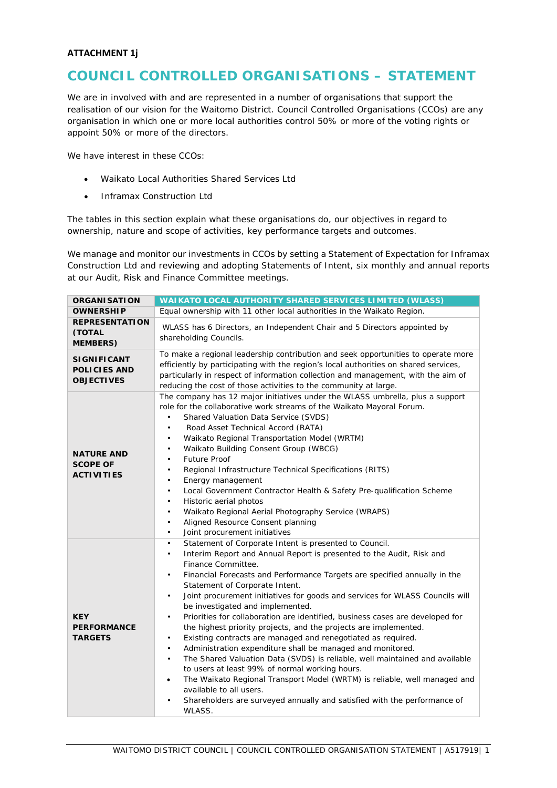## **ATTACHMENT 1j**

## **COUNCIL CONTROLLED ORGANISATIONS – STATEMENT**

We are in involved with and are represented in a number of organisations that support the realisation of our vision for the Waitomo District. Council Controlled Organisations (CCOs) are any organisation in which one or more local authorities control 50% or more of the voting rights or appoint 50% or more of the directors.

We have interest in these CCOs:

- Waikato Local Authorities Shared Services Ltd
- Inframax Construction Ltd

The tables in this section explain what these organisations do, our objectives in regard to ownership, nature and scope of activities, key performance targets and outcomes.

We manage and monitor our investments in CCOs by setting a Statement of Expectation for Inframax Construction Ltd and reviewing and adopting Statements of Intent, six monthly and annual reports at our Audit, Risk and Finance Committee meetings.

| <b>ORGANISATION</b>                                            | <b>WAIKATO LOCAL AUTHORITY SHARED SERVICES LIMITED (WLASS)</b>                                                                                                                                                                                                                                                                                                                                                                                                                                                                                                                                                                                                                                                                                                                                                                                                                                                                                                                                                                                                                                                    |  |  |
|----------------------------------------------------------------|-------------------------------------------------------------------------------------------------------------------------------------------------------------------------------------------------------------------------------------------------------------------------------------------------------------------------------------------------------------------------------------------------------------------------------------------------------------------------------------------------------------------------------------------------------------------------------------------------------------------------------------------------------------------------------------------------------------------------------------------------------------------------------------------------------------------------------------------------------------------------------------------------------------------------------------------------------------------------------------------------------------------------------------------------------------------------------------------------------------------|--|--|
| <b>OWNERSHIP</b>                                               | Equal ownership with 11 other local authorities in the Waikato Region.                                                                                                                                                                                                                                                                                                                                                                                                                                                                                                                                                                                                                                                                                                                                                                                                                                                                                                                                                                                                                                            |  |  |
| <b>REPRESENTATION</b><br><b>(TOTAL</b><br><b>MEMBERS)</b>      | WLASS has 6 Directors, an Independent Chair and 5 Directors appointed by<br>shareholding Councils.                                                                                                                                                                                                                                                                                                                                                                                                                                                                                                                                                                                                                                                                                                                                                                                                                                                                                                                                                                                                                |  |  |
| <b>SIGNIFICANT</b><br><b>POLICIES AND</b><br><b>OBJECTIVES</b> | To make a regional leadership contribution and seek opportunities to operate more<br>efficiently by participating with the region's local authorities on shared services,<br>particularly in respect of information collection and management, with the aim of<br>reducing the cost of those activities to the community at large.                                                                                                                                                                                                                                                                                                                                                                                                                                                                                                                                                                                                                                                                                                                                                                                |  |  |
| <b>NATURE AND</b><br><b>SCOPE OF</b><br><b>ACTIVITIES</b>      | The company has 12 major initiatives under the WLASS umbrella, plus a support<br>role for the collaborative work streams of the Waikato Mayoral Forum.<br>Shared Valuation Data Service (SVDS)<br>$\bullet$<br>Road Asset Technical Accord (RATA)<br>$\bullet$<br>Waikato Regional Transportation Model (WRTM)<br>$\bullet$<br>Waikato Building Consent Group (WBCG)<br>٠<br>Future Proof<br>$\bullet$<br>Regional Infrastructure Technical Specifications (RITS)<br>$\bullet$<br>Energy management<br>$\bullet$<br>Local Government Contractor Health & Safety Pre-qualification Scheme<br>$\bullet$<br>Historic aerial photos<br>$\bullet$<br>Waikato Regional Aerial Photography Service (WRAPS)<br>$\bullet$<br>Aligned Resource Consent planning<br>$\bullet$<br>Joint procurement initiatives<br>$\bullet$                                                                                                                                                                                                                                                                                                  |  |  |
| <b>KEY</b><br><b>PERFORMANCE</b><br><b>TARGETS</b>             | Statement of Corporate Intent is presented to Council.<br>$\bullet$<br>Interim Report and Annual Report is presented to the Audit, Risk and<br>$\bullet$<br>Finance Committee.<br>Financial Forecasts and Performance Targets are specified annually in the<br>Statement of Corporate Intent.<br>Joint procurement initiatives for goods and services for WLASS Councils will<br>$\bullet$<br>be investigated and implemented.<br>Priorities for collaboration are identified, business cases are developed for<br>$\bullet$<br>the highest priority projects, and the projects are implemented.<br>Existing contracts are managed and renegotiated as required.<br>$\bullet$<br>Administration expenditure shall be managed and monitored.<br>$\bullet$<br>The Shared Valuation Data (SVDS) is reliable, well maintained and available<br>$\bullet$<br>to users at least 99% of normal working hours.<br>The Waikato Regional Transport Model (WRTM) is reliable, well managed and<br>$\bullet$<br>available to all users.<br>Shareholders are surveyed annually and satisfied with the performance of<br>WLASS. |  |  |